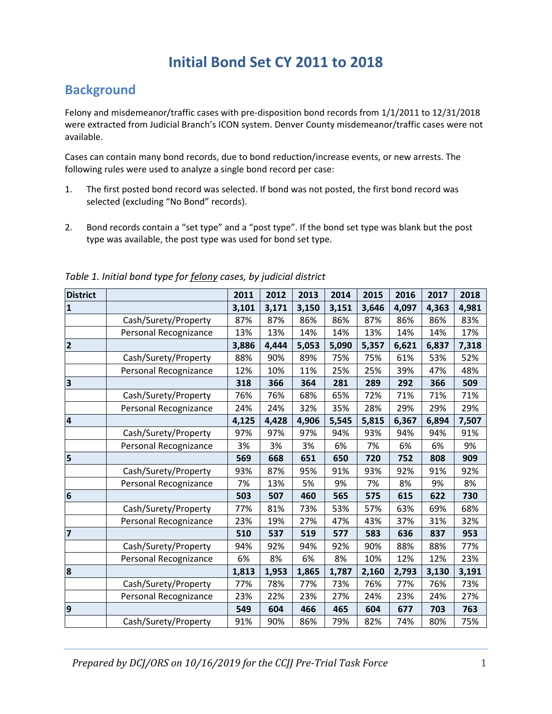## **Initial Bond Set CY 2011 to 2018**

## **Background**

Felony and misdemeanor/traffic cases with pre-disposition bond records from  $1/1/2011$  to  $12/31/2018$ were extracted from Judicial Branch's ICON system. Denver County misdemeanor/traffic cases were not available.

Cases can contain many bond records, due to bond reduction/increase events, or new arrests. The following rules were used to analyze a single bond record per case:

- 1. The first posted bond record was selected. If bond was not posted, the first bond record was selected (excluding "No Bond" records).
- 2. Bond records contain a "set type" and a "post type". If the bond set type was blank but the post type was available, the post type was used for bond set type.

| <b>District</b>         |                       | 2011  | 2012  | 2013  | 2014  | 2015  | 2016  | 2017  | 2018  |
|-------------------------|-----------------------|-------|-------|-------|-------|-------|-------|-------|-------|
| $\mathbf{1}$            |                       | 3,101 | 3,171 | 3,150 | 3,151 | 3,646 | 4,097 | 4,363 | 4,981 |
|                         | Cash/Surety/Property  | 87%   | 87%   | 86%   | 86%   | 87%   | 86%   | 86%   | 83%   |
|                         | Personal Recognizance | 13%   | 13%   | 14%   | 14%   | 13%   | 14%   | 14%   | 17%   |
| $\overline{\mathbf{2}}$ |                       | 3,886 | 4,444 | 5,053 | 5,090 | 5,357 | 6,621 | 6,837 | 7,318 |
|                         | Cash/Surety/Property  | 88%   | 90%   | 89%   | 75%   | 75%   | 61%   | 53%   | 52%   |
|                         | Personal Recognizance | 12%   | 10%   | 11%   | 25%   | 25%   | 39%   | 47%   | 48%   |
| $\overline{\mathbf{3}}$ |                       | 318   | 366   | 364   | 281   | 289   | 292   | 366   | 509   |
|                         | Cash/Surety/Property  | 76%   | 76%   | 68%   | 65%   | 72%   | 71%   | 71%   | 71%   |
|                         | Personal Recognizance | 24%   | 24%   | 32%   | 35%   | 28%   | 29%   | 29%   | 29%   |
| $\overline{\mathbf{4}}$ |                       | 4,125 | 4,428 | 4,906 | 5,545 | 5,815 | 6,367 | 6,894 | 7,507 |
|                         | Cash/Surety/Property  | 97%   | 97%   | 97%   | 94%   | 93%   | 94%   | 94%   | 91%   |
|                         | Personal Recognizance | 3%    | 3%    | 3%    | 6%    | 7%    | 6%    | 6%    | 9%    |
| 5                       |                       | 569   | 668   | 651   | 650   | 720   | 752   | 808   | 909   |
|                         | Cash/Surety/Property  | 93%   | 87%   | 95%   | 91%   | 93%   | 92%   | 91%   | 92%   |
|                         | Personal Recognizance | 7%    | 13%   | 5%    | 9%    | 7%    | 8%    | 9%    | 8%    |
| $\overline{6}$          |                       | 503   | 507   | 460   | 565   | 575   | 615   | 622   | 730   |
|                         | Cash/Surety/Property  | 77%   | 81%   | 73%   | 53%   | 57%   | 63%   | 69%   | 68%   |
|                         | Personal Recognizance | 23%   | 19%   | 27%   | 47%   | 43%   | 37%   | 31%   | 32%   |
| $\overline{\mathbf{r}}$ |                       | 510   | 537   | 519   | 577   | 583   | 636   | 837   | 953   |
|                         | Cash/Surety/Property  | 94%   | 92%   | 94%   | 92%   | 90%   | 88%   | 88%   | 77%   |
|                         | Personal Recognizance | 6%    | 8%    | 6%    | 8%    | 10%   | 12%   | 12%   | 23%   |
| 8                       |                       | 1,813 | 1,953 | 1,865 | 1,787 | 2,160 | 2,793 | 3,130 | 3,191 |
|                         | Cash/Surety/Property  | 77%   | 78%   | 77%   | 73%   | 76%   | 77%   | 76%   | 73%   |
|                         | Personal Recognizance | 23%   | 22%   | 23%   | 27%   | 24%   | 23%   | 24%   | 27%   |
| 9                       |                       | 549   | 604   | 466   | 465   | 604   | 677   | 703   | 763   |
|                         | Cash/Surety/Property  | 91%   | 90%   | 86%   | 79%   | 82%   | 74%   | 80%   | 75%   |

*Table 1. Initial bond type for felony cases, by judicial district*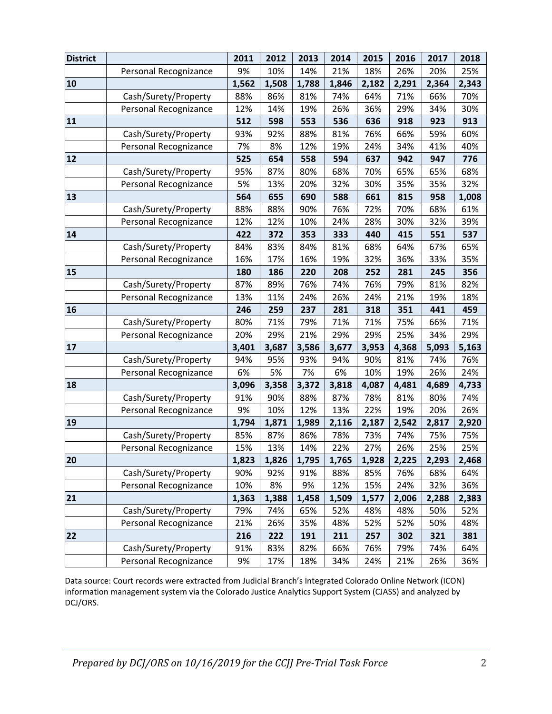| <b>District</b> |                       | 2011  | 2012  | 2013  | 2014  | 2015  | 2016  | 2017  | 2018  |
|-----------------|-----------------------|-------|-------|-------|-------|-------|-------|-------|-------|
|                 | Personal Recognizance | 9%    | 10%   | 14%   | 21%   | 18%   | 26%   | 20%   | 25%   |
| 10              |                       | 1,562 | 1,508 | 1,788 | 1,846 | 2,182 | 2,291 | 2,364 | 2,343 |
|                 | Cash/Surety/Property  | 88%   | 86%   | 81%   | 74%   | 64%   | 71%   | 66%   | 70%   |
|                 | Personal Recognizance | 12%   | 14%   | 19%   | 26%   | 36%   | 29%   | 34%   | 30%   |
| 11              |                       | 512   | 598   | 553   | 536   | 636   | 918   | 923   | 913   |
|                 | Cash/Surety/Property  | 93%   | 92%   | 88%   | 81%   | 76%   | 66%   | 59%   | 60%   |
|                 | Personal Recognizance | 7%    | 8%    | 12%   | 19%   | 24%   | 34%   | 41%   | 40%   |
| 12              |                       | 525   | 654   | 558   | 594   | 637   | 942   | 947   | 776   |
|                 | Cash/Surety/Property  | 95%   | 87%   | 80%   | 68%   | 70%   | 65%   | 65%   | 68%   |
|                 | Personal Recognizance | 5%    | 13%   | 20%   | 32%   | 30%   | 35%   | 35%   | 32%   |
| 13              |                       | 564   | 655   | 690   | 588   | 661   | 815   | 958   | 1,008 |
|                 | Cash/Surety/Property  | 88%   | 88%   | 90%   | 76%   | 72%   | 70%   | 68%   | 61%   |
|                 | Personal Recognizance | 12%   | 12%   | 10%   | 24%   | 28%   | 30%   | 32%   | 39%   |
| 14              |                       | 422   | 372   | 353   | 333   | 440   | 415   | 551   | 537   |
|                 | Cash/Surety/Property  | 84%   | 83%   | 84%   | 81%   | 68%   | 64%   | 67%   | 65%   |
|                 | Personal Recognizance | 16%   | 17%   | 16%   | 19%   | 32%   | 36%   | 33%   | 35%   |
| 15              |                       | 180   | 186   | 220   | 208   | 252   | 281   | 245   | 356   |
|                 | Cash/Surety/Property  | 87%   | 89%   | 76%   | 74%   | 76%   | 79%   | 81%   | 82%   |
|                 | Personal Recognizance | 13%   | 11%   | 24%   | 26%   | 24%   | 21%   | 19%   | 18%   |
| 16              |                       | 246   | 259   | 237   | 281   | 318   | 351   | 441   | 459   |
|                 | Cash/Surety/Property  | 80%   | 71%   | 79%   | 71%   | 71%   | 75%   | 66%   | 71%   |
|                 | Personal Recognizance | 20%   | 29%   | 21%   | 29%   | 29%   | 25%   | 34%   | 29%   |
| 17              |                       | 3,401 | 3,687 | 3,586 | 3,677 | 3,953 | 4,368 | 5,093 | 5,163 |
|                 | Cash/Surety/Property  | 94%   | 95%   | 93%   | 94%   | 90%   | 81%   | 74%   | 76%   |
|                 | Personal Recognizance | 6%    | 5%    | 7%    | 6%    | 10%   | 19%   | 26%   | 24%   |
| 18              |                       | 3,096 | 3,358 | 3,372 | 3,818 | 4,087 | 4,481 | 4,689 | 4,733 |
|                 | Cash/Surety/Property  | 91%   | 90%   | 88%   | 87%   | 78%   | 81%   | 80%   | 74%   |
|                 | Personal Recognizance | 9%    | 10%   | 12%   | 13%   | 22%   | 19%   | 20%   | 26%   |
| 19              |                       | 1,794 | 1,871 | 1,989 | 2,116 | 2,187 | 2,542 | 2,817 | 2,920 |
|                 | Cash/Surety/Property  | 85%   | 87%   | 86%   | 78%   | 73%   | 74%   | 75%   | 75%   |
|                 | Personal Recognizance | 15%   | 13%   | 14%   | 22%   | 27%   | 26%   | 25%   | 25%   |
| 20              |                       | 1,823 | 1,826 | 1,795 | 1,765 | 1,928 | 2,225 | 2,293 | 2,468 |
|                 | Cash/Surety/Property  | 90%   | 92%   | 91%   | 88%   | 85%   | 76%   | 68%   | 64%   |
|                 | Personal Recognizance | 10%   | 8%    | 9%    | 12%   | 15%   | 24%   | 32%   | 36%   |
| 21              |                       | 1,363 | 1,388 | 1,458 | 1,509 | 1,577 | 2,006 | 2,288 | 2,383 |
|                 | Cash/Surety/Property  | 79%   | 74%   | 65%   | 52%   | 48%   | 48%   | 50%   | 52%   |
|                 | Personal Recognizance | 21%   | 26%   | 35%   | 48%   | 52%   | 52%   | 50%   | 48%   |
| 22              |                       | 216   | 222   | 191   | 211   | 257   | 302   | 321   | 381   |
|                 | Cash/Surety/Property  | 91%   | 83%   | 82%   | 66%   | 76%   | 79%   | 74%   | 64%   |
|                 | Personal Recognizance | 9%    | 17%   | 18%   | 34%   | 24%   | 21%   | 26%   | 36%   |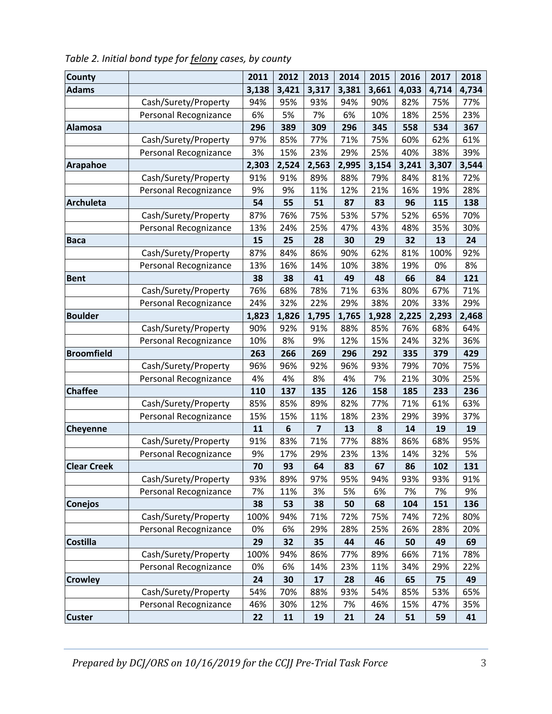| <b>County</b>      |                       | 2011  | 2012  | 2013           | 2014  | 2015  | 2016  | 2017  | 2018  |
|--------------------|-----------------------|-------|-------|----------------|-------|-------|-------|-------|-------|
| <b>Adams</b>       |                       | 3,138 | 3,421 | 3,317          | 3,381 | 3,661 | 4,033 | 4,714 | 4,734 |
|                    | Cash/Surety/Property  | 94%   | 95%   | 93%            | 94%   | 90%   | 82%   | 75%   | 77%   |
|                    | Personal Recognizance | 6%    | 5%    | 7%             | 6%    | 10%   | 18%   | 25%   | 23%   |
| <b>Alamosa</b>     |                       | 296   | 389   | 309            | 296   | 345   | 558   | 534   | 367   |
|                    | Cash/Surety/Property  | 97%   | 85%   | 77%            | 71%   | 75%   | 60%   | 62%   | 61%   |
|                    | Personal Recognizance | 3%    | 15%   | 23%            | 29%   | 25%   | 40%   | 38%   | 39%   |
| <b>Arapahoe</b>    |                       | 2,303 | 2,524 | 2,563          | 2,995 | 3,154 | 3,241 | 3,307 | 3,544 |
|                    | Cash/Surety/Property  | 91%   | 91%   | 89%            | 88%   | 79%   | 84%   | 81%   | 72%   |
|                    | Personal Recognizance | 9%    | 9%    | 11%            | 12%   | 21%   | 16%   | 19%   | 28%   |
| <b>Archuleta</b>   |                       | 54    | 55    | 51             | 87    | 83    | 96    | 115   | 138   |
|                    | Cash/Surety/Property  | 87%   | 76%   | 75%            | 53%   | 57%   | 52%   | 65%   | 70%   |
|                    | Personal Recognizance | 13%   | 24%   | 25%            | 47%   | 43%   | 48%   | 35%   | 30%   |
| <b>Baca</b>        |                       | 15    | 25    | 28             | 30    | 29    | 32    | 13    | 24    |
|                    | Cash/Surety/Property  | 87%   | 84%   | 86%            | 90%   | 62%   | 81%   | 100%  | 92%   |
|                    | Personal Recognizance | 13%   | 16%   | 14%            | 10%   | 38%   | 19%   | 0%    | 8%    |
| <b>Bent</b>        |                       | 38    | 38    | 41             | 49    | 48    | 66    | 84    | 121   |
|                    | Cash/Surety/Property  | 76%   | 68%   | 78%            | 71%   | 63%   | 80%   | 67%   | 71%   |
|                    | Personal Recognizance | 24%   | 32%   | 22%            | 29%   | 38%   | 20%   | 33%   | 29%   |
| <b>Boulder</b>     |                       | 1,823 | 1,826 | 1,795          | 1,765 | 1,928 | 2,225 | 2,293 | 2,468 |
|                    | Cash/Surety/Property  | 90%   | 92%   | 91%            | 88%   | 85%   | 76%   | 68%   | 64%   |
|                    | Personal Recognizance | 10%   | 8%    | 9%             | 12%   | 15%   | 24%   | 32%   | 36%   |
| <b>Broomfield</b>  |                       | 263   | 266   | 269            | 296   | 292   | 335   | 379   | 429   |
|                    | Cash/Surety/Property  | 96%   | 96%   | 92%            | 96%   | 93%   | 79%   | 70%   | 75%   |
|                    | Personal Recognizance | 4%    | 4%    | 8%             | 4%    | 7%    | 21%   | 30%   | 25%   |
| <b>Chaffee</b>     |                       | 110   | 137   | 135            | 126   | 158   | 185   | 233   | 236   |
|                    | Cash/Surety/Property  | 85%   | 85%   | 89%            | 82%   | 77%   | 71%   | 61%   | 63%   |
|                    | Personal Recognizance | 15%   | 15%   | 11%            | 18%   | 23%   | 29%   | 39%   | 37%   |
| Cheyenne           |                       | 11    | 6     | $\overline{7}$ | 13    | 8     | 14    | 19    | 19    |
|                    | Cash/Surety/Property  | 91%   | 83%   | 71%            | 77%   | 88%   | 86%   | 68%   | 95%   |
|                    | Personal Recognizance | 9%    | 17%   | 29%            | 23%   | 13%   | 14%   | 32%   | 5%    |
| <b>Clear Creek</b> |                       | 70    | 93    | 64             | 83    | 67    | 86    | 102   | 131   |
|                    | Cash/Surety/Property  | 93%   | 89%   | 97%            | 95%   | 94%   | 93%   | 93%   | 91%   |
|                    | Personal Recognizance | 7%    | 11%   | 3%             | 5%    | 6%    | 7%    | 7%    | 9%    |
| Conejos            |                       | 38    | 53    | 38             | 50    | 68    | 104   | 151   | 136   |
|                    | Cash/Surety/Property  | 100%  | 94%   | 71%            | 72%   | 75%   | 74%   | 72%   | 80%   |
|                    | Personal Recognizance | 0%    | 6%    | 29%            | 28%   | 25%   | 26%   | 28%   | 20%   |
| <b>Costilla</b>    |                       | 29    | 32    | 35             | 44    | 46    | 50    | 49    | 69    |
|                    | Cash/Surety/Property  | 100%  | 94%   | 86%            | 77%   | 89%   | 66%   | 71%   | 78%   |
|                    | Personal Recognizance | 0%    | 6%    | 14%            | 23%   | 11%   | 34%   | 29%   | 22%   |
| <b>Crowley</b>     |                       | 24    | 30    | 17             | 28    | 46    | 65    | 75    | 49    |
|                    | Cash/Surety/Property  | 54%   | 70%   | 88%            | 93%   | 54%   | 85%   | 53%   | 65%   |
|                    | Personal Recognizance | 46%   | 30%   | 12%            | 7%    | 46%   | 15%   | 47%   | 35%   |
| <b>Custer</b>      |                       | 22    | 11    | 19             | 21    | 24    | 51    | 59    | 41    |

| Table 2. Initial bond type for felony cases, by county |  |  |  |
|--------------------------------------------------------|--|--|--|
|--------------------------------------------------------|--|--|--|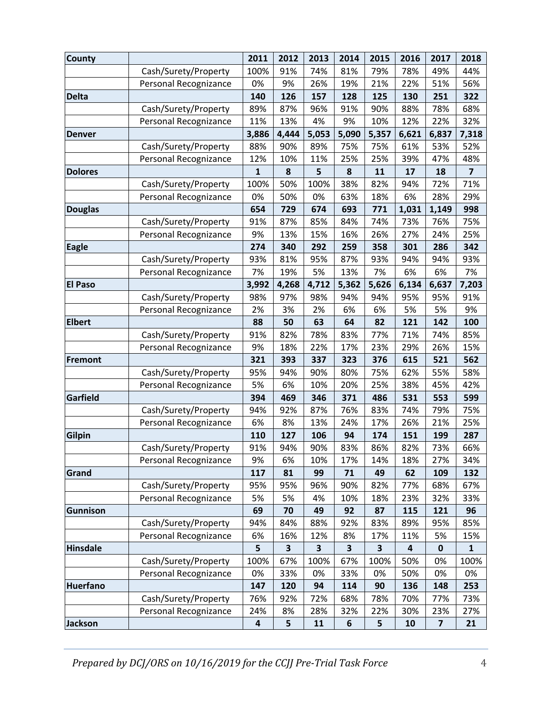| <b>County</b>   |                       | 2011         | 2012  | 2013  | 2014  | 2015  | 2016  | 2017                    | 2018                    |
|-----------------|-----------------------|--------------|-------|-------|-------|-------|-------|-------------------------|-------------------------|
|                 | Cash/Surety/Property  | 100%         | 91%   | 74%   | 81%   | 79%   | 78%   | 49%                     | 44%                     |
|                 | Personal Recognizance | 0%           | 9%    | 26%   | 19%   | 21%   | 22%   | 51%                     | 56%                     |
| <b>Delta</b>    |                       | 140          | 126   | 157   | 128   | 125   | 130   | 251                     | 322                     |
|                 | Cash/Surety/Property  | 89%          | 87%   | 96%   | 91%   | 90%   | 88%   | 78%                     | 68%                     |
|                 | Personal Recognizance | 11%          | 13%   | 4%    | 9%    | 10%   | 12%   | 22%                     | 32%                     |
| <b>Denver</b>   |                       | 3,886        | 4,444 | 5,053 | 5,090 | 5,357 | 6,621 | 6,837                   | 7,318                   |
|                 | Cash/Surety/Property  | 88%          | 90%   | 89%   | 75%   | 75%   | 61%   | 53%                     | 52%                     |
|                 | Personal Recognizance | 12%          | 10%   | 11%   | 25%   | 25%   | 39%   | 47%                     | 48%                     |
| <b>Dolores</b>  |                       | $\mathbf{1}$ | 8     | 5     | 8     | 11    | 17    | 18                      | $\overline{\mathbf{z}}$ |
|                 | Cash/Surety/Property  | 100%         | 50%   | 100%  | 38%   | 82%   | 94%   | 72%                     | 71%                     |
|                 | Personal Recognizance | 0%           | 50%   | 0%    | 63%   | 18%   | 6%    | 28%                     | 29%                     |
| <b>Douglas</b>  |                       | 654          | 729   | 674   | 693   | 771   | 1,031 | 1,149                   | 998                     |
|                 | Cash/Surety/Property  | 91%          | 87%   | 85%   | 84%   | 74%   | 73%   | 76%                     | 75%                     |
|                 | Personal Recognizance | 9%           | 13%   | 15%   | 16%   | 26%   | 27%   | 24%                     | 25%                     |
| <b>Eagle</b>    |                       | 274          | 340   | 292   | 259   | 358   | 301   | 286                     | 342                     |
|                 | Cash/Surety/Property  | 93%          | 81%   | 95%   | 87%   | 93%   | 94%   | 94%                     | 93%                     |
|                 | Personal Recognizance | 7%           | 19%   | 5%    | 13%   | 7%    | 6%    | 6%                      | 7%                      |
| <b>El Paso</b>  |                       | 3,992        | 4,268 | 4,712 | 5,362 | 5,626 | 6,134 | 6,637                   | 7,203                   |
|                 | Cash/Surety/Property  | 98%          | 97%   | 98%   | 94%   | 94%   | 95%   | 95%                     | 91%                     |
|                 | Personal Recognizance | 2%           | 3%    | 2%    | 6%    | 6%    | 5%    | 5%                      | 9%                      |
| <b>Elbert</b>   |                       | 88           | 50    | 63    | 64    | 82    | 121   | 142                     | 100                     |
|                 | Cash/Surety/Property  | 91%          | 82%   | 78%   | 83%   | 77%   | 71%   | 74%                     | 85%                     |
|                 | Personal Recognizance | 9%           | 18%   | 22%   | 17%   | 23%   | 29%   | 26%                     | 15%                     |
| <b>Fremont</b>  |                       | 321          | 393   | 337   | 323   | 376   | 615   | 521                     | 562                     |
|                 | Cash/Surety/Property  | 95%          | 94%   | 90%   | 80%   | 75%   | 62%   | 55%                     | 58%                     |
|                 | Personal Recognizance | 5%           | 6%    | 10%   | 20%   | 25%   | 38%   | 45%                     | 42%                     |
| Garfield        |                       | 394          | 469   | 346   | 371   | 486   | 531   | 553                     | 599                     |
|                 | Cash/Surety/Property  | 94%          | 92%   | 87%   | 76%   | 83%   | 74%   | 79%                     | 75%                     |
|                 | Personal Recognizance | 6%           | 8%    | 13%   | 24%   | 17%   | 26%   | 21%                     | 25%                     |
| <b>Gilpin</b>   |                       | 110          | 127   | 106   | 94    | 174   | 151   | 199                     | 287                     |
|                 | Cash/Surety/Property  | 91%          | 94%   | 90%   | 83%   | 86%   | 82%   | 73%                     | 66%                     |
|                 |                       | 9%           | 6%    | 10%   | 17%   | 14%   | 18%   | 27%                     | 34%                     |
| Grand           | Personal Recognizance | 117          | 81    | 99    | 71    | 49    | 62    | 109                     | 132                     |
|                 |                       |              |       |       |       |       |       |                         |                         |
|                 | Cash/Surety/Property  | 95%          | 95%   | 96%   | 90%   | 82%   | 77%   | 68%                     | 67%                     |
|                 | Personal Recognizance | 5%           | 5%    | 4%    | 10%   | 18%   | 23%   | 32%                     | 33%                     |
| <b>Gunnison</b> |                       | 69           | 70    | 49    | 92    | 87    | 115   | 121                     | 96                      |
|                 | Cash/Surety/Property  | 94%          | 84%   | 88%   | 92%   | 83%   | 89%   | 95%                     | 85%                     |
|                 | Personal Recognizance | 6%           | 16%   | 12%   | 8%    | 17%   | 11%   | 5%                      | 15%                     |
| <b>Hinsdale</b> |                       | 5            | 3     | 3     | 3     | 3     | 4     | 0                       | 1                       |
|                 | Cash/Surety/Property  | 100%         | 67%   | 100%  | 67%   | 100%  | 50%   | 0%                      | 100%                    |
|                 | Personal Recognizance | 0%           | 33%   | 0%    | 33%   | 0%    | 50%   | 0%                      | 0%                      |
| <b>Huerfano</b> |                       | 147          | 120   | 94    | 114   | 90    | 136   | 148                     | 253                     |
|                 | Cash/Surety/Property  | 76%          | 92%   | 72%   | 68%   | 78%   | 70%   | 77%                     | 73%                     |
|                 | Personal Recognizance | 24%          | 8%    | 28%   | 32%   | 22%   | 30%   | 23%                     | 27%                     |
| Jackson         |                       | 4            | 5     | 11    | 6     | 5     | 10    | $\overline{\mathbf{z}}$ | 21                      |

*Prepared by DCJ/ORS on 10/16/2019 for the CCJJ Pre‐Trial Task Force* 4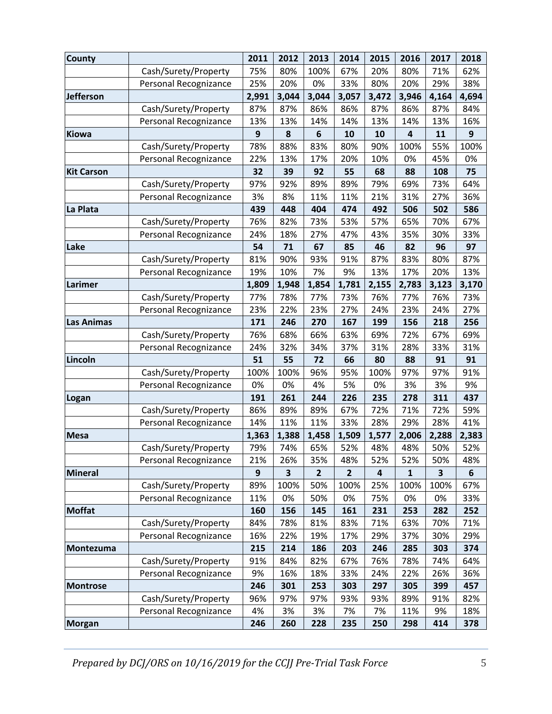| <b>County</b>     |                       | 2011  | 2012  | 2013         | 2014           | 2015  | 2016         | 2017  | 2018  |
|-------------------|-----------------------|-------|-------|--------------|----------------|-------|--------------|-------|-------|
|                   | Cash/Surety/Property  | 75%   | 80%   | 100%         | 67%            | 20%   | 80%          | 71%   | 62%   |
|                   | Personal Recognizance | 25%   | 20%   | 0%           | 33%            | 80%   | 20%          | 29%   | 38%   |
| <b>Jefferson</b>  |                       | 2,991 | 3,044 | 3,044        | 3,057          | 3,472 | 3,946        | 4,164 | 4,694 |
|                   | Cash/Surety/Property  | 87%   | 87%   | 86%          | 86%            | 87%   | 86%          | 87%   | 84%   |
|                   | Personal Recognizance | 13%   | 13%   | 14%          | 14%            | 13%   | 14%          | 13%   | 16%   |
| Kiowa             |                       | 9     | 8     | 6            | 10             | 10    | 4            | 11    | 9     |
|                   | Cash/Surety/Property  | 78%   | 88%   | 83%          | 80%            | 90%   | 100%         | 55%   | 100%  |
|                   | Personal Recognizance | 22%   | 13%   | 17%          | 20%            | 10%   | 0%           | 45%   | 0%    |
| <b>Kit Carson</b> |                       | 32    | 39    | 92           | 55             | 68    | 88           | 108   | 75    |
|                   | Cash/Surety/Property  | 97%   | 92%   | 89%          | 89%            | 79%   | 69%          | 73%   | 64%   |
|                   | Personal Recognizance | 3%    | 8%    | 11%          | 11%            | 21%   | 31%          | 27%   | 36%   |
| La Plata          |                       | 439   | 448   | 404          | 474            | 492   | 506          | 502   | 586   |
|                   | Cash/Surety/Property  | 76%   | 82%   | 73%          | 53%            | 57%   | 65%          | 70%   | 67%   |
|                   | Personal Recognizance | 24%   | 18%   | 27%          | 47%            | 43%   | 35%          | 30%   | 33%   |
| Lake              |                       | 54    | 71    | 67           | 85             | 46    | 82           | 96    | 97    |
|                   | Cash/Surety/Property  | 81%   | 90%   | 93%          | 91%            | 87%   | 83%          | 80%   | 87%   |
|                   | Personal Recognizance | 19%   | 10%   | 7%           | 9%             | 13%   | 17%          | 20%   | 13%   |
| Larimer           |                       | 1,809 | 1,948 | 1,854        | 1,781          | 2,155 | 2,783        | 3,123 | 3,170 |
|                   | Cash/Surety/Property  | 77%   | 78%   | 77%          | 73%            | 76%   | 77%          | 76%   | 73%   |
|                   | Personal Recognizance | 23%   | 22%   | 23%          | 27%            | 24%   | 23%          | 24%   | 27%   |
| <b>Las Animas</b> |                       | 171   | 246   | 270          | 167            | 199   | 156          | 218   | 256   |
|                   | Cash/Surety/Property  | 76%   | 68%   | 66%          | 63%            | 69%   | 72%          | 67%   | 69%   |
|                   | Personal Recognizance | 24%   | 32%   | 34%          | 37%            | 31%   | 28%          | 33%   | 31%   |
| Lincoln           |                       | 51    | 55    | 72           | 66             | 80    | 88           | 91    | 91    |
|                   | Cash/Surety/Property  | 100%  | 100%  | 96%          | 95%            | 100%  | 97%          | 97%   | 91%   |
|                   | Personal Recognizance | 0%    | 0%    | 4%           | 5%             | 0%    | 3%           | 3%    | 9%    |
| Logan             |                       | 191   | 261   | 244          | 226            | 235   | 278          | 311   | 437   |
|                   | Cash/Surety/Property  | 86%   | 89%   | 89%          | 67%            | 72%   | 71%          | 72%   | 59%   |
|                   | Personal Recognizance | 14%   | 11%   | 11%          | 33%            | 28%   | 29%          | 28%   | 41%   |
| <b>Mesa</b>       |                       | 1,363 | 1,388 | 1,458        | 1,509          | 1,577 | 2,006        | 2,288 | 2,383 |
|                   | Cash/Surety/Property  | 79%   | 74%   | 65%          | 52%            | 48%   | 48%          | 50%   | 52%   |
|                   | Personal Recognizance | 21%   | 26%   | 35%          | 48%            | 52%   | 52%          | 50%   | 48%   |
| <b>Mineral</b>    |                       | 9     | 3     | $\mathbf{2}$ | $\overline{2}$ | 4     | $\mathbf{1}$ | 3     | 6     |
|                   | Cash/Surety/Property  | 89%   | 100%  | 50%          | 100%           | 25%   | 100%         | 100%  | 67%   |
|                   | Personal Recognizance | 11%   | 0%    | 50%          | 0%             | 75%   | 0%           | 0%    | 33%   |
| <b>Moffat</b>     |                       | 160   | 156   | 145          | 161            | 231   | 253          | 282   | 252   |
|                   | Cash/Surety/Property  | 84%   | 78%   | 81%          | 83%            | 71%   | 63%          | 70%   | 71%   |
|                   |                       |       | 22%   |              |                |       |              |       |       |
|                   | Personal Recognizance | 16%   |       | 19%          | 17%            | 29%   | 37%          | 30%   | 29%   |
| Montezuma         |                       | 215   | 214   | 186          | 203            | 246   | 285          | 303   | 374   |
|                   | Cash/Surety/Property  | 91%   | 84%   | 82%          | 67%            | 76%   | 78%          | 74%   | 64%   |
|                   | Personal Recognizance | 9%    | 16%   | 18%          | 33%            | 24%   | 22%          | 26%   | 36%   |
| <b>Montrose</b>   |                       | 246   | 301   | 253          | 303            | 297   | 305          | 399   | 457   |
|                   | Cash/Surety/Property  | 96%   | 97%   | 97%          | 93%            | 93%   | 89%          | 91%   | 82%   |
|                   | Personal Recognizance | 4%    | 3%    | 3%           | 7%             | 7%    | 11%          | 9%    | 18%   |
| Morgan            |                       | 246   | 260   | 228          | 235            | 250   | 298          | 414   | 378   |

*Prepared by DCJ/ORS on 10/16/2019 for the CCJJ Pre‐Trial Task Force* 5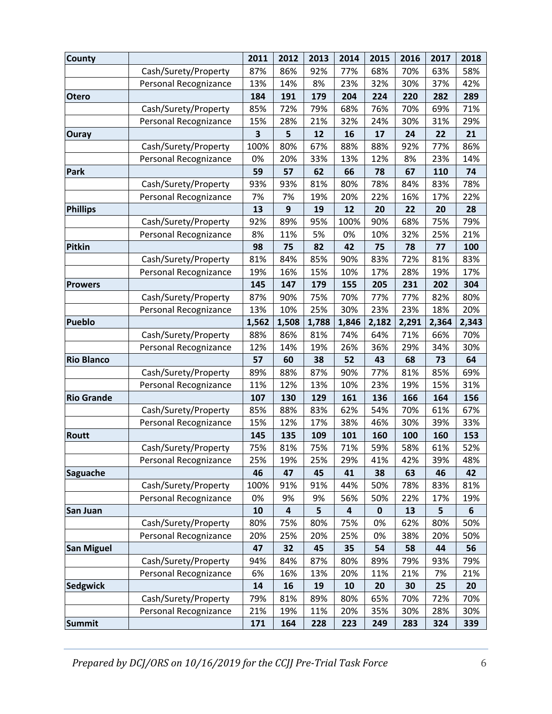| <b>County</b>     |                                               | 2011       | 2012       | 2013       | 2014       | 2015             | 2016       | 2017       | 2018       |
|-------------------|-----------------------------------------------|------------|------------|------------|------------|------------------|------------|------------|------------|
|                   | Cash/Surety/Property                          | 87%        | 86%        | 92%        | 77%        | 68%              | 70%        | 63%        | 58%        |
|                   | Personal Recognizance                         | 13%        | 14%        | 8%         | 23%        | 32%              | 30%        | 37%        | 42%        |
| <b>Otero</b>      |                                               | 184        | 191        | 179        | 204        | 224              | 220        | 282        | 289        |
|                   | Cash/Surety/Property                          | 85%        | 72%        | 79%        | 68%        | 76%              | 70%        | 69%        | 71%        |
|                   | Personal Recognizance                         | 15%        | 28%        | 21%        | 32%        | 24%              | 30%        | 31%        | 29%        |
| <b>Ouray</b>      |                                               | 3          | 5          | 12         | 16         | 17               | 24         | 22         | 21         |
|                   | Cash/Surety/Property                          | 100%       | 80%        | 67%        | 88%        | 88%              | 92%        | 77%        | 86%        |
|                   | Personal Recognizance                         | 0%         | 20%        | 33%        | 13%        | 12%              | 8%         | 23%        | 14%        |
| Park              |                                               | 59         | 57         | 62         | 66         | 78               | 67         | 110        | 74         |
|                   | Cash/Surety/Property                          | 93%        | 93%        | 81%        | 80%        | 78%              | 84%        | 83%        | 78%        |
|                   | Personal Recognizance                         | 7%         | 7%         | 19%        | 20%        | 22%              | 16%        | 17%        | 22%        |
| <b>Phillips</b>   |                                               | 13         | 9          | 19         | 12         | 20               | 22         | 20         | 28         |
|                   | Cash/Surety/Property                          | 92%        | 89%        | 95%        | 100%       | 90%              | 68%        | 75%        | 79%        |
|                   | Personal Recognizance                         | 8%         | 11%        | 5%         | 0%         | 10%              | 32%        | 25%        | 21%        |
| <b>Pitkin</b>     |                                               | 98         | 75         | 82         | 42         | 75               | 78         | 77         | 100        |
|                   | Cash/Surety/Property                          | 81%        | 84%        | 85%        | 90%        | 83%              | 72%        | 81%        | 83%        |
|                   | Personal Recognizance                         | 19%        | 16%        | 15%        | 10%        | 17%              | 28%        | 19%        | 17%        |
| <b>Prowers</b>    |                                               | 145        | 147        | 179        | 155        | 205              | 231        | 202        | 304        |
|                   | Cash/Surety/Property                          | 87%        | 90%        | 75%        | 70%        | 77%              | 77%        | 82%        | 80%        |
|                   | Personal Recognizance                         | 13%        | 10%        | 25%        | 30%        | 23%              | 23%        | 18%        | 20%        |
| <b>Pueblo</b>     |                                               | 1,562      | 1,508      | 1,788      | 1,846      | 2,182            | 2,291      | 2,364      | 2,343      |
|                   | Cash/Surety/Property                          | 88%        | 86%        | 81%        | 74%        | 64%              | 71%        | 66%        | 70%        |
|                   | Personal Recognizance                         | 12%        | 14%        | 19%        | 26%        | 36%              | 29%        | 34%        | 30%        |
| <b>Rio Blanco</b> |                                               | 57         | 60         | 38         | 52         | 43               | 68         | 73         | 64         |
|                   | Cash/Surety/Property                          | 89%        | 88%        | 87%        | 90%        | 77%              | 81%        | 85%        | 69%        |
|                   | Personal Recognizance                         | 11%        | 12%        | 13%        | 10%        | 23%              | 19%        | 15%        | 31%        |
| <b>Rio Grande</b> |                                               | 107        | 130        | 129        | 161        | 136              | 166        | 164        | 156        |
|                   | Cash/Surety/Property                          | 85%        | 88%        | 83%        | 62%        | 54%              | 70%        | 61%        | 67%        |
|                   | Personal Recognizance                         | 15%        | 12%        | 17%        | 38%        | 46%              | 30%        | 39%        | 33%        |
| <b>Routt</b>      |                                               | 145        | 135        | 109        | 101        | 160              | 100<br>58% | 160        | 153        |
|                   | Cash/Surety/Property<br>Personal Recognizance | 75%<br>25% | 81%<br>19% | 75%<br>25% | 71%<br>29% | 59%<br>41%       | 42%        | 61%<br>39% | 52%<br>48% |
| <b>Saguache</b>   |                                               | 46         | 47         | 45         | 41         | 38               | 63         | 46         | 42         |
|                   | Cash/Surety/Property                          | 100%       | 91%        | 91%        | 44%        | 50%              | 78%        | 83%        | 81%        |
|                   | Personal Recognizance                         | 0%         | 9%         | 9%         | 56%        | 50%              | 22%        | 17%        | 19%        |
| San Juan          |                                               | 10         | 4          | 5          | 4          | $\boldsymbol{0}$ | 13         | 5          | 6          |
|                   | Cash/Surety/Property                          | 80%        | 75%        | 80%        | 75%        | 0%               | 62%        | 80%        | 50%        |
|                   | Personal Recognizance                         | 20%        | 25%        | 20%        | 25%        | 0%               | 38%        | 20%        | 50%        |
| <b>San Miguel</b> |                                               | 47         | 32         | 45         | 35         | 54               | 58         | 44         | 56         |
|                   | Cash/Surety/Property                          | 94%        | 84%        | 87%        | 80%        | 89%              | 79%        | 93%        | 79%        |
|                   | Personal Recognizance                         | 6%         | 16%        | 13%        | 20%        | 11%              | 21%        | 7%         | 21%        |
| <b>Sedgwick</b>   |                                               | 14         | 16         | 19         | 10         | 20               | 30         | 25         | 20         |
|                   | Cash/Surety/Property                          | 79%        | 81%        | 89%        | 80%        | 65%              | 70%        | 72%        | 70%        |
|                   | Personal Recognizance                         | 21%        | 19%        | 11%        | 20%        | 35%              | 30%        | 28%        | 30%        |
| Summit            |                                               | 171        | 164        | 228        | 223        | 249              | 283        | 324        | 339        |

*Prepared by DCJ/ORS on 10/16/2019 for the CCJJ Pre‐Trial Task Force* 6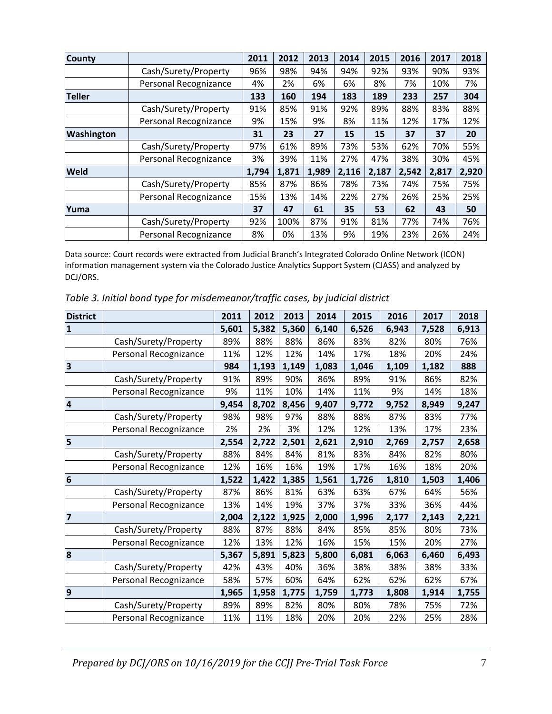| <b>County</b> |                       | 2011  | 2012  | 2013  | 2014  | 2015  | 2016  | 2017  | 2018  |
|---------------|-----------------------|-------|-------|-------|-------|-------|-------|-------|-------|
|               | Cash/Surety/Property  | 96%   | 98%   | 94%   | 94%   | 92%   | 93%   | 90%   | 93%   |
|               | Personal Recognizance | 4%    | 2%    | 6%    | 6%    | 8%    | 7%    | 10%   | 7%    |
| <b>Teller</b> |                       | 133   | 160   | 194   | 183   | 189   | 233   | 257   | 304   |
|               | Cash/Surety/Property  | 91%   | 85%   | 91%   | 92%   | 89%   | 88%   | 83%   | 88%   |
|               | Personal Recognizance | 9%    | 15%   | 9%    | 8%    | 11%   | 12%   | 17%   | 12%   |
| Washington    |                       | 31    | 23    | 27    | 15    | 15    | 37    | 37    | 20    |
|               | Cash/Surety/Property  | 97%   | 61%   | 89%   | 73%   | 53%   | 62%   | 70%   | 55%   |
|               | Personal Recognizance | 3%    | 39%   | 11%   | 27%   | 47%   | 38%   | 30%   | 45%   |
| Weld          |                       | 1,794 | 1,871 | 1,989 | 2,116 | 2,187 | 2,542 | 2,817 | 2,920 |
|               | Cash/Surety/Property  | 85%   | 87%   | 86%   | 78%   | 73%   | 74%   | 75%   | 75%   |
|               | Personal Recognizance | 15%   | 13%   | 14%   | 22%   | 27%   | 26%   | 25%   | 25%   |
| Yuma          |                       | 37    | 47    | 61    | 35    | 53    | 62    | 43    | 50    |
|               | Cash/Surety/Property  | 92%   | 100%  | 87%   | 91%   | 81%   | 77%   | 74%   | 76%   |
|               | Personal Recognizance | 8%    | 0%    | 13%   | 9%    | 19%   | 23%   | 26%   | 24%   |

*Table 3. Initial bond type for misdemeanor/traffic cases, by judicial district*

| <b>District</b>         |                       | 2011  | 2012  | 2013  | 2014  | 2015  | 2016  | 2017  | 2018  |
|-------------------------|-----------------------|-------|-------|-------|-------|-------|-------|-------|-------|
| $\overline{\mathbf{1}}$ |                       | 5,601 | 5,382 | 5,360 | 6,140 | 6,526 | 6,943 | 7,528 | 6,913 |
|                         | Cash/Surety/Property  | 89%   | 88%   | 88%   | 86%   | 83%   | 82%   | 80%   | 76%   |
|                         | Personal Recognizance | 11%   | 12%   | 12%   | 14%   | 17%   | 18%   | 20%   | 24%   |
| $\vert$ 3               |                       | 984   | 1,193 | 1,149 | 1,083 | 1,046 | 1,109 | 1,182 | 888   |
|                         | Cash/Surety/Property  | 91%   | 89%   | 90%   | 86%   | 89%   | 91%   | 86%   | 82%   |
|                         | Personal Recognizance | 9%    | 11%   | 10%   | 14%   | 11%   | 9%    | 14%   | 18%   |
| $\overline{\mathbf{4}}$ |                       | 9,454 | 8,702 | 8,456 | 9,407 | 9,772 | 9,752 | 8,949 | 9,247 |
|                         | Cash/Surety/Property  | 98%   | 98%   | 97%   | 88%   | 88%   | 87%   | 83%   | 77%   |
|                         | Personal Recognizance | 2%    | 2%    | 3%    | 12%   | 12%   | 13%   | 17%   | 23%   |
| 5                       |                       | 2,554 | 2,722 | 2,501 | 2,621 | 2,910 | 2,769 | 2,757 | 2,658 |
|                         | Cash/Surety/Property  | 88%   | 84%   | 84%   | 81%   | 83%   | 84%   | 82%   | 80%   |
|                         | Personal Recognizance | 12%   | 16%   | 16%   | 19%   | 17%   | 16%   | 18%   | 20%   |
| $\overline{6}$          |                       | 1,522 | 1,422 | 1,385 | 1,561 | 1,726 | 1,810 | 1,503 | 1,406 |
|                         | Cash/Surety/Property  | 87%   | 86%   | 81%   | 63%   | 63%   | 67%   | 64%   | 56%   |
|                         | Personal Recognizance | 13%   | 14%   | 19%   | 37%   | 37%   | 33%   | 36%   | 44%   |
| 7                       |                       | 2,004 | 2,122 | 1,925 | 2,000 | 1,996 | 2,177 | 2,143 | 2,221 |
|                         | Cash/Surety/Property  | 88%   | 87%   | 88%   | 84%   | 85%   | 85%   | 80%   | 73%   |
|                         | Personal Recognizance | 12%   | 13%   | 12%   | 16%   | 15%   | 15%   | 20%   | 27%   |
| 8                       |                       | 5,367 | 5,891 | 5,823 | 5,800 | 6,081 | 6,063 | 6,460 | 6,493 |
|                         | Cash/Surety/Property  | 42%   | 43%   | 40%   | 36%   | 38%   | 38%   | 38%   | 33%   |
|                         | Personal Recognizance | 58%   | 57%   | 60%   | 64%   | 62%   | 62%   | 62%   | 67%   |
| $\overline{9}$          |                       | 1,965 | 1,958 | 1,775 | 1,759 | 1,773 | 1,808 | 1,914 | 1,755 |
|                         | Cash/Surety/Property  | 89%   | 89%   | 82%   | 80%   | 80%   | 78%   | 75%   | 72%   |
|                         | Personal Recognizance | 11%   | 11%   | 18%   | 20%   | 20%   | 22%   | 25%   | 28%   |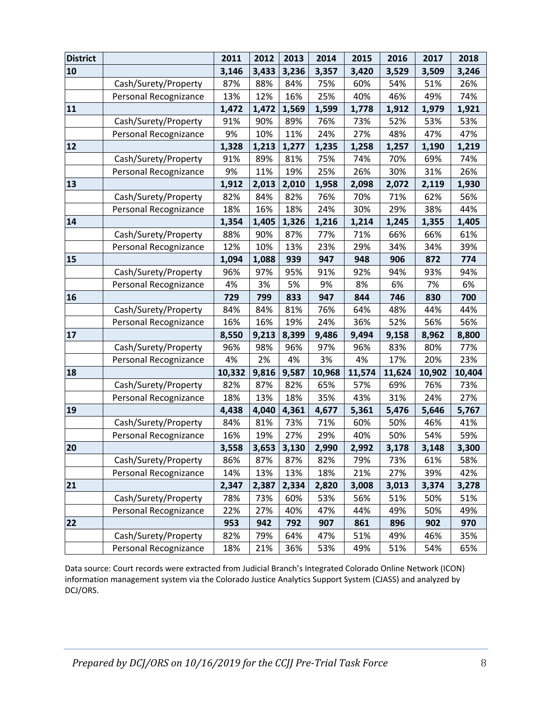| <b>District</b> |                       | 2011   | 2012  | 2013  | 2014   | 2015   | 2016   | 2017   | 2018   |
|-----------------|-----------------------|--------|-------|-------|--------|--------|--------|--------|--------|
| 10              |                       | 3,146  | 3,433 | 3,236 | 3,357  | 3,420  | 3,529  | 3,509  | 3,246  |
|                 | Cash/Surety/Property  | 87%    | 88%   | 84%   | 75%    | 60%    | 54%    | 51%    | 26%    |
|                 | Personal Recognizance | 13%    | 12%   | 16%   | 25%    | 40%    | 46%    | 49%    | 74%    |
| 11              |                       | 1,472  | 1,472 | 1,569 | 1,599  | 1,778  | 1,912  | 1,979  | 1,921  |
|                 | Cash/Surety/Property  | 91%    | 90%   | 89%   | 76%    | 73%    | 52%    | 53%    | 53%    |
|                 | Personal Recognizance | 9%     | 10%   | 11%   | 24%    | 27%    | 48%    | 47%    | 47%    |
| 12              |                       | 1,328  | 1,213 | 1,277 | 1,235  | 1,258  | 1,257  | 1,190  | 1,219  |
|                 | Cash/Surety/Property  | 91%    | 89%   | 81%   | 75%    | 74%    | 70%    | 69%    | 74%    |
|                 | Personal Recognizance | 9%     | 11%   | 19%   | 25%    | 26%    | 30%    | 31%    | 26%    |
| 13              |                       | 1,912  | 2,013 | 2,010 | 1,958  | 2,098  | 2,072  | 2,119  | 1,930  |
|                 | Cash/Surety/Property  | 82%    | 84%   | 82%   | 76%    | 70%    | 71%    | 62%    | 56%    |
|                 | Personal Recognizance | 18%    | 16%   | 18%   | 24%    | 30%    | 29%    | 38%    | 44%    |
| 14              |                       | 1,354  | 1,405 | 1,326 | 1,216  | 1,214  | 1,245  | 1,355  | 1,405  |
|                 | Cash/Surety/Property  | 88%    | 90%   | 87%   | 77%    | 71%    | 66%    | 66%    | 61%    |
|                 | Personal Recognizance | 12%    | 10%   | 13%   | 23%    | 29%    | 34%    | 34%    | 39%    |
| 15              |                       | 1,094  | 1,088 | 939   | 947    | 948    | 906    | 872    | 774    |
|                 | Cash/Surety/Property  | 96%    | 97%   | 95%   | 91%    | 92%    | 94%    | 93%    | 94%    |
|                 | Personal Recognizance | 4%     | 3%    | 5%    | 9%     | 8%     | 6%     | 7%     | 6%     |
| 16              |                       | 729    | 799   | 833   | 947    | 844    | 746    | 830    | 700    |
|                 | Cash/Surety/Property  | 84%    | 84%   | 81%   | 76%    | 64%    | 48%    | 44%    | 44%    |
|                 | Personal Recognizance | 16%    | 16%   | 19%   | 24%    | 36%    | 52%    | 56%    | 56%    |
| 17              |                       | 8,550  | 9,213 | 8,399 | 9,486  | 9,494  | 9,158  | 8,962  | 8,800  |
|                 | Cash/Surety/Property  | 96%    | 98%   | 96%   | 97%    | 96%    | 83%    | 80%    | 77%    |
|                 | Personal Recognizance | 4%     | 2%    | 4%    | 3%     | 4%     | 17%    | 20%    | 23%    |
| 18              |                       | 10,332 | 9,816 | 9,587 | 10,968 | 11,574 | 11,624 | 10,902 | 10,404 |
|                 | Cash/Surety/Property  | 82%    | 87%   | 82%   | 65%    | 57%    | 69%    | 76%    | 73%    |
|                 | Personal Recognizance | 18%    | 13%   | 18%   | 35%    | 43%    | 31%    | 24%    | 27%    |
| 19              |                       | 4,438  | 4,040 | 4,361 | 4,677  | 5,361  | 5,476  | 5,646  | 5,767  |
|                 | Cash/Surety/Property  | 84%    | 81%   | 73%   | 71%    | 60%    | 50%    | 46%    | 41%    |
|                 | Personal Recognizance | 16%    | 19%   | 27%   | 29%    | 40%    | 50%    | 54%    | 59%    |
| 20              |                       | 3,558  | 3,653 | 3,130 | 2,990  | 2,992  | 3,178  | 3,148  | 3,300  |
|                 | Cash/Surety/Property  | 86%    | 87%   | 87%   | 82%    | 79%    | 73%    | 61%    | 58%    |
|                 | Personal Recognizance | 14%    | 13%   | 13%   | 18%    | 21%    | 27%    | 39%    | 42%    |
| 21              |                       | 2,347  | 2,387 | 2,334 | 2,820  | 3,008  | 3,013  | 3,374  | 3,278  |
|                 | Cash/Surety/Property  | 78%    | 73%   | 60%   | 53%    | 56%    | 51%    | 50%    | 51%    |
|                 | Personal Recognizance | 22%    | 27%   | 40%   | 47%    | 44%    | 49%    | 50%    | 49%    |
| 22              |                       | 953    | 942   | 792   | 907    | 861    | 896    | 902    | 970    |
|                 | Cash/Surety/Property  | 82%    | 79%   | 64%   | 47%    | 51%    | 49%    | 46%    | 35%    |
|                 | Personal Recognizance | 18%    | 21%   | 36%   | 53%    | 49%    | 51%    | 54%    | 65%    |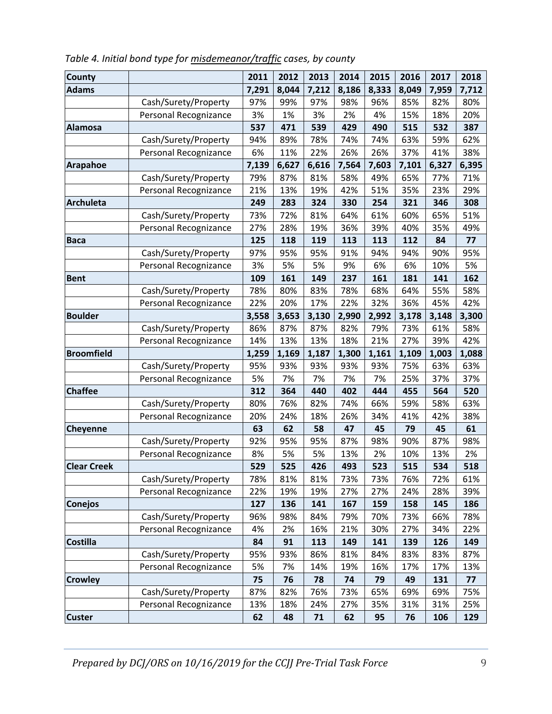| <b>County</b>      |                       | 2011  | 2012  | 2013  | 2014  | 2015  | 2016  | 2017  | 2018  |
|--------------------|-----------------------|-------|-------|-------|-------|-------|-------|-------|-------|
| <b>Adams</b>       |                       | 7,291 | 8,044 | 7,212 | 8,186 | 8,333 | 8,049 | 7,959 | 7,712 |
|                    | Cash/Surety/Property  | 97%   | 99%   | 97%   | 98%   | 96%   | 85%   | 82%   | 80%   |
|                    | Personal Recognizance | 3%    | 1%    | 3%    | 2%    | 4%    | 15%   | 18%   | 20%   |
| <b>Alamosa</b>     |                       | 537   | 471   | 539   | 429   | 490   | 515   | 532   | 387   |
|                    | Cash/Surety/Property  | 94%   | 89%   | 78%   | 74%   | 74%   | 63%   | 59%   | 62%   |
|                    | Personal Recognizance | 6%    | 11%   | 22%   | 26%   | 26%   | 37%   | 41%   | 38%   |
| <b>Arapahoe</b>    |                       | 7,139 | 6,627 | 6,616 | 7,564 | 7,603 | 7,101 | 6,327 | 6,395 |
|                    | Cash/Surety/Property  | 79%   | 87%   | 81%   | 58%   | 49%   | 65%   | 77%   | 71%   |
|                    | Personal Recognizance | 21%   | 13%   | 19%   | 42%   | 51%   | 35%   | 23%   | 29%   |
| <b>Archuleta</b>   |                       | 249   | 283   | 324   | 330   | 254   | 321   | 346   | 308   |
|                    | Cash/Surety/Property  | 73%   | 72%   | 81%   | 64%   | 61%   | 60%   | 65%   | 51%   |
|                    | Personal Recognizance | 27%   | 28%   | 19%   | 36%   | 39%   | 40%   | 35%   | 49%   |
| <b>Baca</b>        |                       | 125   | 118   | 119   | 113   | 113   | 112   | 84    | 77    |
|                    | Cash/Surety/Property  | 97%   | 95%   | 95%   | 91%   | 94%   | 94%   | 90%   | 95%   |
|                    | Personal Recognizance | 3%    | 5%    | 5%    | 9%    | 6%    | 6%    | 10%   | 5%    |
| <b>Bent</b>        |                       | 109   | 161   | 149   | 237   | 161   | 181   | 141   | 162   |
|                    | Cash/Surety/Property  | 78%   | 80%   | 83%   | 78%   | 68%   | 64%   | 55%   | 58%   |
|                    | Personal Recognizance | 22%   | 20%   | 17%   | 22%   | 32%   | 36%   | 45%   | 42%   |
| <b>Boulder</b>     |                       | 3,558 | 3,653 | 3,130 | 2,990 | 2,992 | 3,178 | 3,148 | 3,300 |
|                    | Cash/Surety/Property  | 86%   | 87%   | 87%   | 82%   | 79%   | 73%   | 61%   | 58%   |
|                    | Personal Recognizance | 14%   | 13%   | 13%   | 18%   | 21%   | 27%   | 39%   | 42%   |
| <b>Broomfield</b>  |                       | 1,259 | 1,169 | 1,187 | 1,300 | 1,161 | 1,109 | 1,003 | 1,088 |
|                    | Cash/Surety/Property  | 95%   | 93%   | 93%   | 93%   | 93%   | 75%   | 63%   | 63%   |
|                    | Personal Recognizance | 5%    | 7%    | 7%    | 7%    | 7%    | 25%   | 37%   | 37%   |
| <b>Chaffee</b>     |                       | 312   | 364   | 440   | 402   | 444   | 455   | 564   | 520   |
|                    | Cash/Surety/Property  | 80%   | 76%   | 82%   | 74%   | 66%   | 59%   | 58%   | 63%   |
|                    | Personal Recognizance | 20%   | 24%   | 18%   | 26%   | 34%   | 41%   | 42%   | 38%   |
| Cheyenne           |                       | 63    | 62    | 58    | 47    | 45    | 79    | 45    | 61    |
|                    | Cash/Surety/Property  | 92%   | 95%   | 95%   | 87%   | 98%   | 90%   | 87%   | 98%   |
|                    | Personal Recognizance | 8%    | 5%    | 5%    | 13%   | 2%    | 10%   | 13%   | 2%    |
| <b>Clear Creek</b> |                       | 529   | 525   | 426   | 493   | 523   | 515   | 534   | 518   |
|                    | Cash/Surety/Property  | 78%   | 81%   | 81%   | 73%   | 73%   | 76%   | 72%   | 61%   |
|                    | Personal Recognizance | 22%   | 19%   | 19%   | 27%   | 27%   | 24%   | 28%   | 39%   |
| <b>Conejos</b>     |                       | 127   | 136   | 141   | 167   | 159   | 158   | 145   | 186   |
|                    | Cash/Surety/Property  | 96%   | 98%   | 84%   | 79%   | 70%   | 73%   | 66%   | 78%   |
|                    | Personal Recognizance | 4%    | 2%    | 16%   | 21%   | 30%   | 27%   | 34%   | 22%   |
| <b>Costilla</b>    |                       | 84    | 91    | 113   | 149   | 141   | 139   | 126   | 149   |
|                    | Cash/Surety/Property  | 95%   | 93%   | 86%   | 81%   | 84%   | 83%   | 83%   | 87%   |
|                    | Personal Recognizance | 5%    | 7%    | 14%   | 19%   | 16%   | 17%   | 17%   | 13%   |
| <b>Crowley</b>     |                       | 75    | 76    | 78    | 74    | 79    | 49    | 131   | 77    |
|                    | Cash/Surety/Property  | 87%   | 82%   | 76%   | 73%   | 65%   | 69%   | 69%   | 75%   |
|                    | Personal Recognizance | 13%   | 18%   | 24%   | 27%   | 35%   | 31%   | 31%   | 25%   |
| <b>Custer</b>      |                       | 62    | 48    | 71    | 62    | 95    | 76    | 106   | 129   |

*Table 4. Initial bond type for misdemeanor/traffic cases, by county*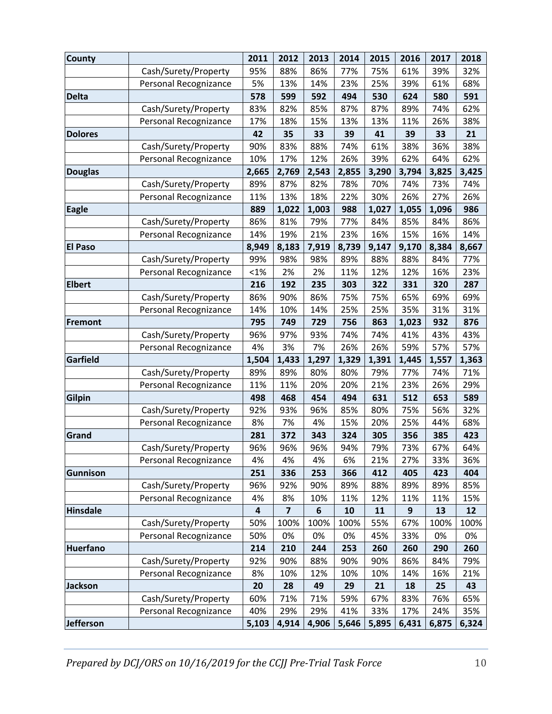| <b>County</b>    |                       | 2011    | 2012                          | 2013     | 2014       | 2015      | 2016     | 2017       | 2018       |
|------------------|-----------------------|---------|-------------------------------|----------|------------|-----------|----------|------------|------------|
|                  | Cash/Surety/Property  | 95%     | 88%                           | 86%      | 77%        | 75%       | 61%      | 39%        | 32%        |
|                  | Personal Recognizance | 5%      | 13%                           | 14%      | 23%        | 25%       | 39%      | 61%        | 68%        |
| <b>Delta</b>     |                       | 578     | 599                           | 592      | 494        | 530       | 624      | 580        | 591        |
|                  | Cash/Surety/Property  | 83%     | 82%                           | 85%      | 87%        | 87%       | 89%      | 74%        | 62%        |
|                  | Personal Recognizance | 17%     | 18%                           | 15%      | 13%        | 13%       | 11%      | 26%        | 38%        |
| <b>Dolores</b>   |                       | 42      | 35                            | 33       | 39         | 41        | 39       | 33         | 21         |
|                  | Cash/Surety/Property  | 90%     | 83%                           | 88%      | 74%        | 61%       | 38%      | 36%        | 38%        |
|                  | Personal Recognizance | 10%     | 17%                           | 12%      | 26%        | 39%       | 62%      | 64%        | 62%        |
| <b>Douglas</b>   |                       | 2,665   | 2,769                         | 2,543    | 2,855      | 3,290     | 3,794    | 3,825      | 3,425      |
|                  | Cash/Surety/Property  | 89%     | 87%                           | 82%      | 78%        | 70%       | 74%      | 73%        | 74%        |
|                  | Personal Recognizance | 11%     | 13%                           | 18%      | 22%        | 30%       | 26%      | 27%        | 26%        |
| <b>Eagle</b>     |                       | 889     | 1,022                         | 1,003    | 988        | 1,027     | 1,055    | 1,096      | 986        |
|                  | Cash/Surety/Property  | 86%     | 81%                           | 79%      | 77%        | 84%       | 85%      | 84%        | 86%        |
|                  | Personal Recognizance | 14%     | 19%                           | 21%      | 23%        | 16%       | 15%      | 16%        | 14%        |
| <b>El Paso</b>   |                       | 8,949   | 8,183                         | 7,919    | 8,739      | 9,147     | 9,170    | 8,384      | 8,667      |
|                  | Cash/Surety/Property  | 99%     | 98%                           | 98%      | 89%        | 88%       | 88%      | 84%        | 77%        |
|                  | Personal Recognizance | $< 1\%$ | 2%                            | 2%       | 11%        | 12%       | 12%      | 16%        | 23%        |
| <b>Elbert</b>    |                       | 216     | 192                           | 235      | 303        | 322       | 331      | 320        | 287        |
|                  | Cash/Surety/Property  | 86%     | 90%                           | 86%      | 75%        | 75%       | 65%      | 69%        | 69%        |
|                  | Personal Recognizance | 14%     | 10%                           | 14%      | 25%        | 25%       | 35%      | 31%        | 31%        |
| Fremont          |                       | 795     | 749                           | 729      | 756        | 863       | 1,023    | 932        | 876        |
|                  | Cash/Surety/Property  | 96%     | 97%                           | 93%      | 74%        | 74%       | 41%      | 43%        | 43%        |
|                  | Personal Recognizance | 4%      | 3%                            | 7%       | 26%        | 26%       | 59%      | 57%        | 57%        |
| Garfield         |                       | 1,504   | 1,433                         | 1,297    | 1,329      | 1,391     | 1,445    | 1,557      | 1,363      |
|                  | Cash/Surety/Property  | 89%     | 89%                           | 80%      | 80%        | 79%       | 77%      | 74%        | 71%        |
|                  | Personal Recognizance | 11%     | 11%                           | 20%      | 20%        | 21%       | 23%      | 26%        | 29%        |
| <b>Gilpin</b>    |                       | 498     | 468                           | 454      | 494        | 631       | 512      | 653        | 589        |
|                  | Cash/Surety/Property  | 92%     | 93%                           | 96%      | 85%        | 80%       | 75%      | 56%        | 32%        |
|                  | Personal Recognizance | 8%      | 7%                            | 4%       | 15%        | 20%       | 25%      | 44%        | 68%        |
| Grand            |                       | 281     | 372                           | 343      | 324        | 305       | 356      | 385        | 423        |
|                  | Cash/Surety/Property  | 96%     | 96%                           | 96%      | 94%        | 79%       | 73%      | 67%        | 64%        |
|                  | Personal Recognizance | 4%      | 4%                            | 4%       | 6%         | 21%       | 27%      | 33%        | 36%        |
| Gunnison         |                       | 251     | 336                           | 253      | 366        | 412       | 405      | 423        | 404        |
|                  | Cash/Surety/Property  | 96%     | 92%                           | 90%      | 89%        | 88%       | 89%      | 89%        | 85%        |
| <b>Hinsdale</b>  | Personal Recognizance | 4%<br>4 | 8%<br>$\overline{\mathbf{z}}$ | 10%<br>6 | 11%        | 12%       | 11%<br>9 | 11%        | 15%        |
|                  | Cash/Surety/Property  | 50%     | 100%                          | 100%     | 10<br>100% | 11<br>55% | 67%      | 13<br>100% | 12<br>100% |
|                  | Personal Recognizance | 50%     | 0%                            | 0%       | 0%         | 45%       | 33%      | 0%         | 0%         |
| <b>Huerfano</b>  |                       | 214     | 210                           | 244      | 253        | 260       | 260      | 290        | 260        |
|                  | Cash/Surety/Property  | 92%     | 90%                           | 88%      | 90%        | 90%       | 86%      | 84%        | 79%        |
|                  | Personal Recognizance | 8%      | 10%                           | 12%      | 10%        | 10%       | 14%      | 16%        | 21%        |
| <b>Jackson</b>   |                       | 20      | 28                            | 49       | 29         | 21        | 18       | 25         | 43         |
|                  | Cash/Surety/Property  | 60%     | 71%                           | 71%      | 59%        | 67%       | 83%      | 76%        | 65%        |
|                  | Personal Recognizance | 40%     | 29%                           | 29%      | 41%        | 33%       | 17%      | 24%        | 35%        |
| <b>Jefferson</b> |                       | 5,103   | 4,914                         | 4,906    | 5,646      | 5,895     | 6,431    | 6,875      | 6,324      |
|                  |                       |         |                               |          |            |           |          |            |            |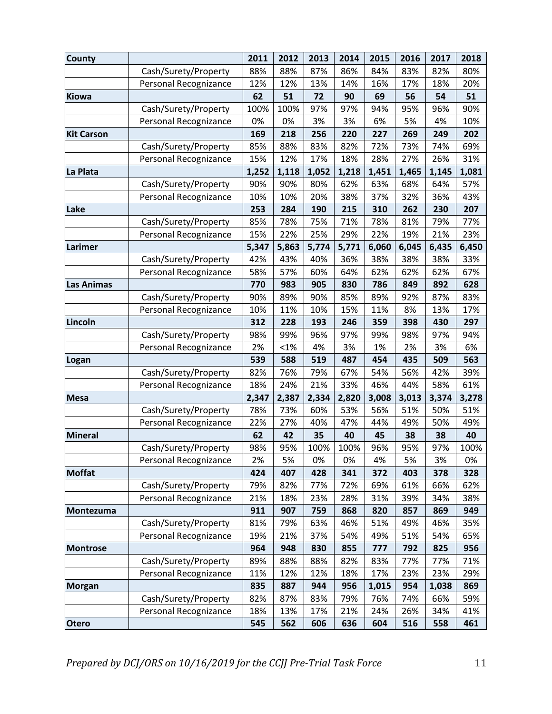| <b>County</b>     |                       | 2011  | 2012  | 2013  | 2014  | 2015  | 2016  | 2017  | 2018  |
|-------------------|-----------------------|-------|-------|-------|-------|-------|-------|-------|-------|
|                   | Cash/Surety/Property  | 88%   | 88%   | 87%   | 86%   | 84%   | 83%   | 82%   | 80%   |
|                   | Personal Recognizance | 12%   | 12%   | 13%   | 14%   | 16%   | 17%   | 18%   | 20%   |
| Kiowa             |                       | 62    | 51    | 72    | 90    | 69    | 56    | 54    | 51    |
|                   | Cash/Surety/Property  | 100%  | 100%  | 97%   | 97%   | 94%   | 95%   | 96%   | 90%   |
|                   | Personal Recognizance | 0%    | 0%    | 3%    | 3%    | 6%    | 5%    | 4%    | 10%   |
| <b>Kit Carson</b> |                       | 169   | 218   | 256   | 220   | 227   | 269   | 249   | 202   |
|                   | Cash/Surety/Property  | 85%   | 88%   | 83%   | 82%   | 72%   | 73%   | 74%   | 69%   |
|                   | Personal Recognizance | 15%   | 12%   | 17%   | 18%   | 28%   | 27%   | 26%   | 31%   |
| La Plata          |                       | 1,252 | 1,118 | 1,052 | 1,218 | 1,451 | 1,465 | 1,145 | 1,081 |
|                   | Cash/Surety/Property  | 90%   | 90%   | 80%   | 62%   | 63%   | 68%   | 64%   | 57%   |
|                   | Personal Recognizance | 10%   | 10%   | 20%   | 38%   | 37%   | 32%   | 36%   | 43%   |
| Lake              |                       | 253   | 284   | 190   | 215   | 310   | 262   | 230   | 207   |
|                   | Cash/Surety/Property  | 85%   | 78%   | 75%   | 71%   | 78%   | 81%   | 79%   | 77%   |
|                   | Personal Recognizance | 15%   | 22%   | 25%   | 29%   | 22%   | 19%   | 21%   | 23%   |
| Larimer           |                       | 5,347 | 5,863 | 5,774 | 5,771 | 6,060 | 6,045 | 6,435 | 6,450 |
|                   | Cash/Surety/Property  | 42%   | 43%   | 40%   | 36%   | 38%   | 38%   | 38%   | 33%   |
|                   | Personal Recognizance | 58%   | 57%   | 60%   | 64%   | 62%   | 62%   | 62%   | 67%   |
| <b>Las Animas</b> |                       | 770   | 983   | 905   | 830   | 786   | 849   | 892   | 628   |
|                   | Cash/Surety/Property  | 90%   | 89%   | 90%   | 85%   | 89%   | 92%   | 87%   | 83%   |
|                   | Personal Recognizance | 10%   | 11%   | 10%   | 15%   | 11%   | 8%    | 13%   | 17%   |
| Lincoln           |                       | 312   | 228   | 193   | 246   | 359   | 398   | 430   | 297   |
|                   | Cash/Surety/Property  | 98%   | 99%   | 96%   | 97%   | 99%   | 98%   | 97%   | 94%   |
|                   | Personal Recognizance | 2%    | < 1%  | 4%    | 3%    | 1%    | 2%    | 3%    | 6%    |
| Logan             |                       | 539   | 588   | 519   | 487   | 454   | 435   | 509   | 563   |
|                   | Cash/Surety/Property  | 82%   | 76%   | 79%   | 67%   | 54%   | 56%   | 42%   | 39%   |
|                   | Personal Recognizance | 18%   | 24%   | 21%   | 33%   | 46%   | 44%   | 58%   | 61%   |
| <b>Mesa</b>       |                       | 2,347 | 2,387 | 2,334 | 2,820 | 3,008 | 3,013 | 3,374 | 3,278 |
|                   | Cash/Surety/Property  | 78%   | 73%   | 60%   | 53%   | 56%   | 51%   | 50%   | 51%   |
|                   | Personal Recognizance | 22%   | 27%   | 40%   | 47%   | 44%   | 49%   | 50%   | 49%   |
| <b>Mineral</b>    |                       | 62    | 42    | 35    | 40    | 45    | 38    | 38    | 40    |
|                   | Cash/Surety/Property  | 98%   | 95%   | 100%  | 100%  | 96%   | 95%   | 97%   | 100%  |
|                   | Personal Recognizance | 2%    | 5%    | 0%    | 0%    | 4%    | 5%    | 3%    | 0%    |
| <b>Moffat</b>     |                       | 424   | 407   | 428   | 341   | 372   | 403   | 378   | 328   |
|                   | Cash/Surety/Property  | 79%   | 82%   | 77%   | 72%   | 69%   | 61%   | 66%   | 62%   |
|                   | Personal Recognizance | 21%   | 18%   | 23%   | 28%   | 31%   | 39%   | 34%   | 38%   |
| Montezuma         |                       | 911   | 907   | 759   | 868   | 820   | 857   | 869   | 949   |
|                   | Cash/Surety/Property  | 81%   | 79%   | 63%   | 46%   | 51%   | 49%   | 46%   | 35%   |
|                   | Personal Recognizance | 19%   | 21%   | 37%   | 54%   | 49%   | 51%   | 54%   | 65%   |
| <b>Montrose</b>   |                       | 964   | 948   | 830   | 855   | 777   | 792   | 825   | 956   |
|                   | Cash/Surety/Property  | 89%   | 88%   | 88%   | 82%   | 83%   | 77%   | 77%   | 71%   |
|                   | Personal Recognizance | 11%   | 12%   | 12%   | 18%   | 17%   | 23%   | 23%   | 29%   |
| <b>Morgan</b>     |                       | 835   | 887   | 944   | 956   | 1,015 | 954   | 1,038 | 869   |
|                   | Cash/Surety/Property  | 82%   | 87%   | 83%   | 79%   | 76%   | 74%   | 66%   | 59%   |
|                   | Personal Recognizance | 18%   | 13%   | 17%   | 21%   | 24%   | 26%   | 34%   | 41%   |
| <b>Otero</b>      |                       | 545   | 562   | 606   | 636   | 604   | 516   | 558   | 461   |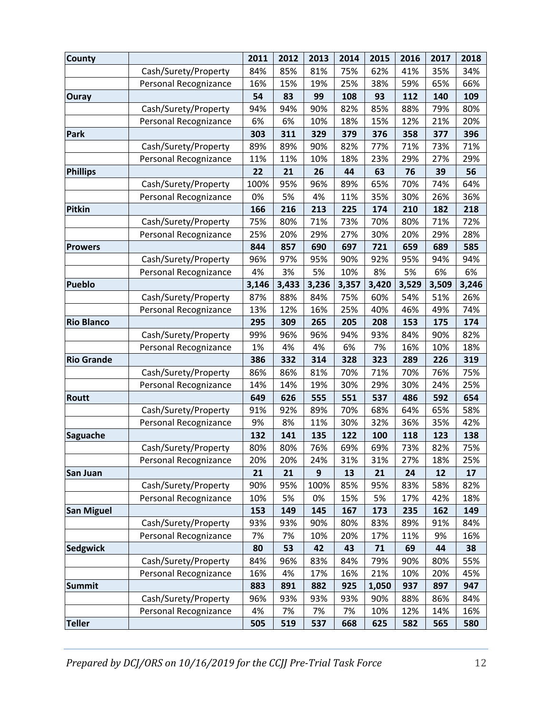| <b>County</b>     |                       | 2011  | 2012  | 2013  | 2014  | 2015  | 2016  | 2017  | 2018  |
|-------------------|-----------------------|-------|-------|-------|-------|-------|-------|-------|-------|
|                   | Cash/Surety/Property  | 84%   | 85%   | 81%   | 75%   | 62%   | 41%   | 35%   | 34%   |
|                   | Personal Recognizance | 16%   | 15%   | 19%   | 25%   | 38%   | 59%   | 65%   | 66%   |
| <b>Ouray</b>      |                       | 54    | 83    | 99    | 108   | 93    | 112   | 140   | 109   |
|                   | Cash/Surety/Property  | 94%   | 94%   | 90%   | 82%   | 85%   | 88%   | 79%   | 80%   |
|                   | Personal Recognizance | 6%    | 6%    | 10%   | 18%   | 15%   | 12%   | 21%   | 20%   |
| Park              |                       | 303   | 311   | 329   | 379   | 376   | 358   | 377   | 396   |
|                   | Cash/Surety/Property  | 89%   | 89%   | 90%   | 82%   | 77%   | 71%   | 73%   | 71%   |
|                   | Personal Recognizance | 11%   | 11%   | 10%   | 18%   | 23%   | 29%   | 27%   | 29%   |
| Phillips          |                       | 22    | 21    | 26    | 44    | 63    | 76    | 39    | 56    |
|                   | Cash/Surety/Property  | 100%  | 95%   | 96%   | 89%   | 65%   | 70%   | 74%   | 64%   |
|                   | Personal Recognizance | 0%    | 5%    | 4%    | 11%   | 35%   | 30%   | 26%   | 36%   |
| <b>Pitkin</b>     |                       | 166   | 216   | 213   | 225   | 174   | 210   | 182   | 218   |
|                   | Cash/Surety/Property  | 75%   | 80%   | 71%   | 73%   | 70%   | 80%   | 71%   | 72%   |
|                   | Personal Recognizance | 25%   | 20%   | 29%   | 27%   | 30%   | 20%   | 29%   | 28%   |
| <b>Prowers</b>    |                       | 844   | 857   | 690   | 697   | 721   | 659   | 689   | 585   |
|                   | Cash/Surety/Property  | 96%   | 97%   | 95%   | 90%   | 92%   | 95%   | 94%   | 94%   |
|                   | Personal Recognizance | 4%    | 3%    | 5%    | 10%   | 8%    | 5%    | 6%    | 6%    |
| <b>Pueblo</b>     |                       | 3,146 | 3,433 | 3,236 | 3,357 | 3,420 | 3,529 | 3,509 | 3,246 |
|                   | Cash/Surety/Property  | 87%   | 88%   | 84%   | 75%   | 60%   | 54%   | 51%   | 26%   |
|                   | Personal Recognizance | 13%   | 12%   | 16%   | 25%   | 40%   | 46%   | 49%   | 74%   |
| <b>Rio Blanco</b> |                       | 295   | 309   | 265   | 205   | 208   | 153   | 175   | 174   |
|                   | Cash/Surety/Property  | 99%   | 96%   | 96%   | 94%   | 93%   | 84%   | 90%   | 82%   |
|                   | Personal Recognizance | 1%    | 4%    | 4%    | 6%    | 7%    | 16%   | 10%   | 18%   |
| <b>Rio Grande</b> |                       | 386   | 332   | 314   | 328   | 323   | 289   | 226   | 319   |
|                   | Cash/Surety/Property  | 86%   | 86%   | 81%   | 70%   | 71%   | 70%   | 76%   | 75%   |
|                   | Personal Recognizance | 14%   | 14%   | 19%   | 30%   | 29%   | 30%   | 24%   | 25%   |
| <b>Routt</b>      |                       | 649   | 626   | 555   | 551   | 537   | 486   | 592   | 654   |
|                   | Cash/Surety/Property  | 91%   | 92%   | 89%   | 70%   | 68%   | 64%   | 65%   | 58%   |
|                   | Personal Recognizance | 9%    | 8%    | 11%   | 30%   | 32%   | 36%   | 35%   | 42%   |
| <b>Saguache</b>   |                       | 132   | 141   | 135   | 122   | 100   | 118   | 123   | 138   |
|                   | Cash/Surety/Property  | 80%   | 80%   | 76%   | 69%   | 69%   | 73%   | 82%   | 75%   |
|                   | Personal Recognizance | 20%   | 20%   | 24%   | 31%   | 31%   | 27%   | 18%   | 25%   |
| San Juan          |                       | 21    | 21    | 9     | 13    | 21    | 24    | 12    | 17    |
|                   | Cash/Surety/Property  | 90%   | 95%   | 100%  | 85%   | 95%   | 83%   | 58%   | 82%   |
|                   | Personal Recognizance | 10%   | 5%    | 0%    | 15%   | 5%    | 17%   | 42%   | 18%   |
| <b>San Miguel</b> |                       | 153   | 149   | 145   | 167   | 173   | 235   | 162   | 149   |
|                   | Cash/Surety/Property  | 93%   | 93%   | 90%   | 80%   | 83%   | 89%   | 91%   | 84%   |
|                   | Personal Recognizance | 7%    | 7%    | 10%   | 20%   | 17%   | 11%   | 9%    | 16%   |
| <b>Sedgwick</b>   |                       | 80    | 53    | 42    | 43    | 71    | 69    | 44    | 38    |
|                   | Cash/Surety/Property  | 84%   | 96%   | 83%   | 84%   | 79%   | 90%   | 80%   | 55%   |
|                   | Personal Recognizance | 16%   | 4%    | 17%   | 16%   | 21%   | 10%   | 20%   | 45%   |
| <b>Summit</b>     |                       | 883   | 891   | 882   | 925   | 1,050 | 937   | 897   | 947   |
|                   | Cash/Surety/Property  | 96%   | 93%   | 93%   | 93%   | 90%   | 88%   | 86%   | 84%   |
|                   | Personal Recognizance | 4%    | 7%    | 7%    | 7%    | 10%   | 12%   | 14%   | 16%   |
| <b>Teller</b>     |                       | 505   | 519   | 537   | 668   | 625   | 582   | 565   | 580   |